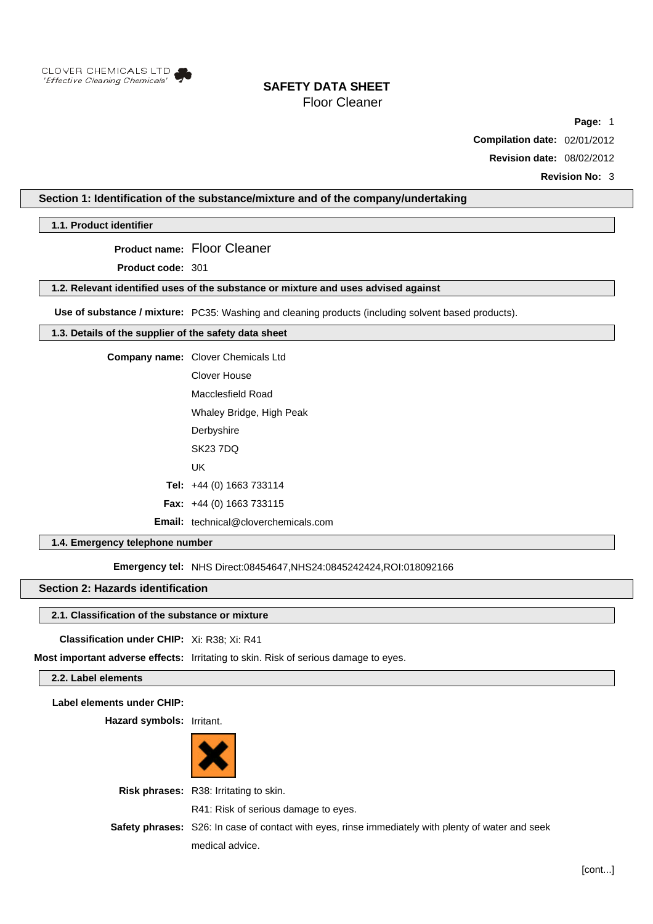

# **SAFETY DATA SHEET**

Floor Cleaner

**Page:** 1

**Compilation date:** 02/01/2012

**Revision date:** 08/02/2012

**Revision No:** 3

# **Section 1: Identification of the substance/mixture and of the company/undertaking**

**1.1. Product identifier**

**Product name:** Floor Cleaner

**Product code:** 301

# **1.2. Relevant identified uses of the substance or mixture and uses advised against**

**Use of substance / mixture:** PC35: Washing and cleaning products (including solvent based products).

# **1.3. Details of the supplier of the safety data sheet**

**Company name:** Clover Chemicals Ltd

Clover House

Macclesfield Road

- Whaley Bridge, High Peak **Derbyshire**
- SK23 7DQ
- UK

**Tel:** +44 (0) 1663 733114

- **Fax:** +44 (0) 1663 733115
- **Email:** technical@cloverchemicals.com

# **1.4. Emergency telephone number**

**Emergency tel: NHS Direct:08454647,NHS24:0845242424,ROI:018092166** 

# **Section 2: Hazards identification**

### **2.1. Classification of the substance or mixture**

# **Classification under CHIP:** Xi: R38; Xi: R41

**Most important adverse effects:** Irritating to skin. Risk of serious damage to eyes.

# **2.2. Label elements**

**Label elements under CHIP:**

**Hazard symbols:** Irritant.



**Risk phrases:** R38: Irritating to skin. R41: Risk of serious damage to eyes. **Safety phrases:** S26: In case of contact with eyes, rinse immediately with plenty of water and seek medical advice.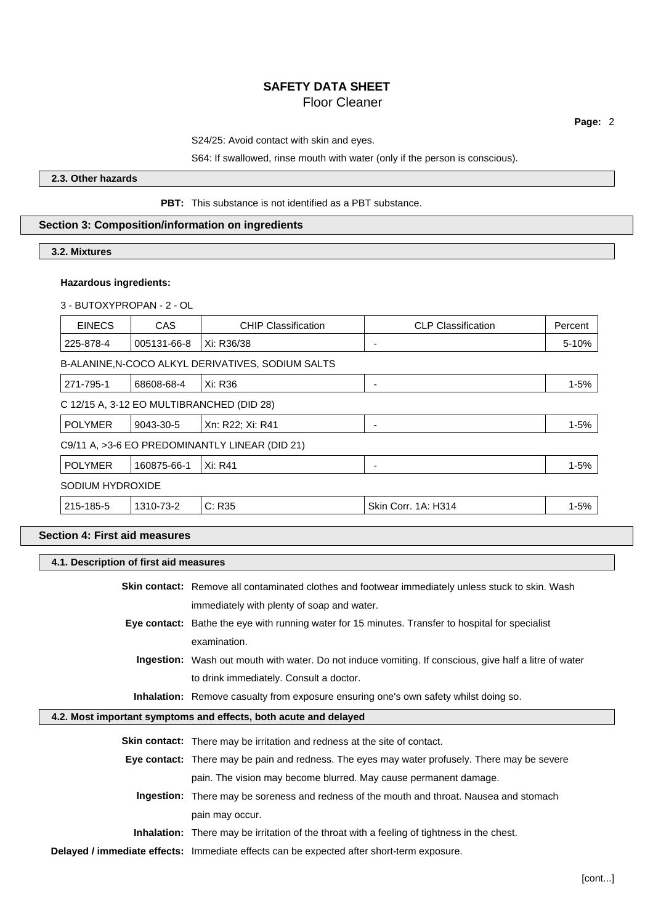S24/25: Avoid contact with skin and eyes.

# S64: If swallowed, rinse mouth with water (only if the person is conscious).

# **2.3. Other hazards**

# **PBT:** This substance is not identified as a PBT substance.

# **Section 3: Composition/information on ingredients**

# **3.2. Mixtures**

# **Hazardous ingredients:**

# 3 - BUTOXYPROPAN - 2 - OL

| <b>EINECS</b>    | <b>CAS</b>  | <b>CHIP Classification</b>                        | <b>CLP Classification</b> | Percent  |
|------------------|-------------|---------------------------------------------------|---------------------------|----------|
| 225-878-4        | 005131-66-8 | Xi: R36/38                                        | $\overline{\phantom{0}}$  | 5-10%    |
|                  |             | B-ALANINE, N-COCO ALKYL DERIVATIVES, SODIUM SALTS |                           |          |
| 271-795-1        | 68608-68-4  | Xi: R36                                           |                           | $1 - 5%$ |
|                  |             | C 12/15 A, 3-12 EO MULTIBRANCHED (DID 28)         |                           |          |
| <b>POLYMER</b>   | 9043-30-5   | Xn: R22; Xi: R41                                  |                           | $1 - 5%$ |
|                  |             | C9/11 A, >3-6 EO PREDOMINANTLY LINEAR (DID 21)    |                           |          |
| <b>POLYMER</b>   | 160875-66-1 | Xi: R41                                           | ۰                         | $1 - 5%$ |
| SODIUM HYDROXIDE |             |                                                   |                           |          |
| 215-185-5        | 1310-73-2   | C: R35                                            | Skin Corr. 1A: H314       | $1 - 5%$ |

# **Section 4: First aid measures**

 $\Box$ 

# **4.1. Description of first aid measures**

|                                                                  | <b>Skin contact:</b> Remove all contaminated clothes and footwear immediately unless stuck to skin. Wash |  |
|------------------------------------------------------------------|----------------------------------------------------------------------------------------------------------|--|
|                                                                  | immediately with plenty of soap and water.                                                               |  |
|                                                                  | Eye contact: Bathe the eye with running water for 15 minutes. Transfer to hospital for specialist        |  |
|                                                                  | examination.                                                                                             |  |
|                                                                  | Ingestion: Wash out mouth with water. Do not induce vomiting. If conscious, give half a litre of water   |  |
|                                                                  | to drink immediately. Consult a doctor.                                                                  |  |
|                                                                  | <b>Inhalation:</b> Remove casualty from exposure ensuring one's own safety whilst doing so.              |  |
| 4.2. Most important symptoms and effects, both acute and delayed |                                                                                                          |  |
|                                                                  |                                                                                                          |  |
|                                                                  | <b>Skin contact:</b> There may be irritation and redness at the site of contact.                         |  |
|                                                                  | Eye contact: There may be pain and redness. The eyes may water profusely. There may be severe            |  |
|                                                                  | pain. The vision may become blurred. May cause permanent damage.                                         |  |
|                                                                  | Ingestion: There may be soreness and redness of the mouth and throat. Nausea and stomach                 |  |
|                                                                  | pain may occur.                                                                                          |  |
|                                                                  | <b>Inhalation:</b> There may be irritation of the throat with a feeling of tightness in the chest.       |  |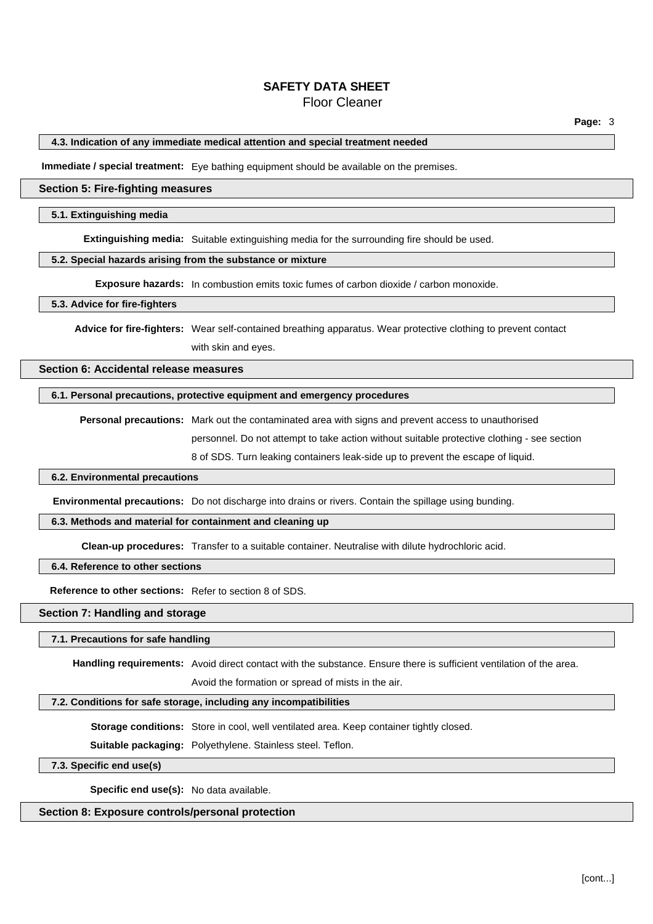# **SAFETY DATA SHEET**

# Floor Cleaner

# **4.3. Indication of any immediate medical attention and special treatment needed**

**Immediate / special treatment:** Eye bathing equipment should be available on the premises.

# **Section 5: Fire-fighting measures**

### **5.1. Extinguishing media**

**Extinguishing media:** Suitable extinguishing media for the surrounding fire should be used.

# **5.2. Special hazards arising from the substance or mixture**

**Exposure hazards:** In combustion emits toxic fumes of carbon dioxide / carbon monoxide.

### **5.3. Advice for fire-fighters**

**Advice for fire-fighters:** Wear self-contained breathing apparatus. Wear protective clothing to prevent contact with skin and eyes.

# **Section 6: Accidental release measures**

# **6.1. Personal precautions, protective equipment and emergency procedures**

**Personal precautions:** Mark out the contaminated area with signs and prevent access to unauthorised

personnel. Do not attempt to take action without suitable protective clothing - see section

8 of SDS. Turn leaking containers leak-side up to prevent the escape of liquid.

#### **6.2. Environmental precautions**

**Environmental precautions:** Do not discharge into drains or rivers. Contain the spillage using bunding.

# **6.3. Methods and material for containment and cleaning up**

**Clean-up procedures:** Transfer to a suitable container. Neutralise with dilute hydrochloric acid.

**6.4. Reference to other sections**

**Reference to other sections:** Refer to section 8 of SDS.

### **Section 7: Handling and storage**

### **7.1. Precautions for safe handling**

**Handling requirements:** Avoid direct contact with the substance. Ensure there is sufficient ventilation of the area.

Avoid the formation or spread of mists in the air.

# **7.2. Conditions for safe storage, including any incompatibilities**

**Storage conditions:** Store in cool, well ventilated area. Keep container tightly closed.

**Suitable packaging:** Polyethylene. Stainless steel. Teflon.

### **7.3. Specific end use(s)**

**Specific end use(s):** No data available.

# **Section 8: Exposure controls/personal protection**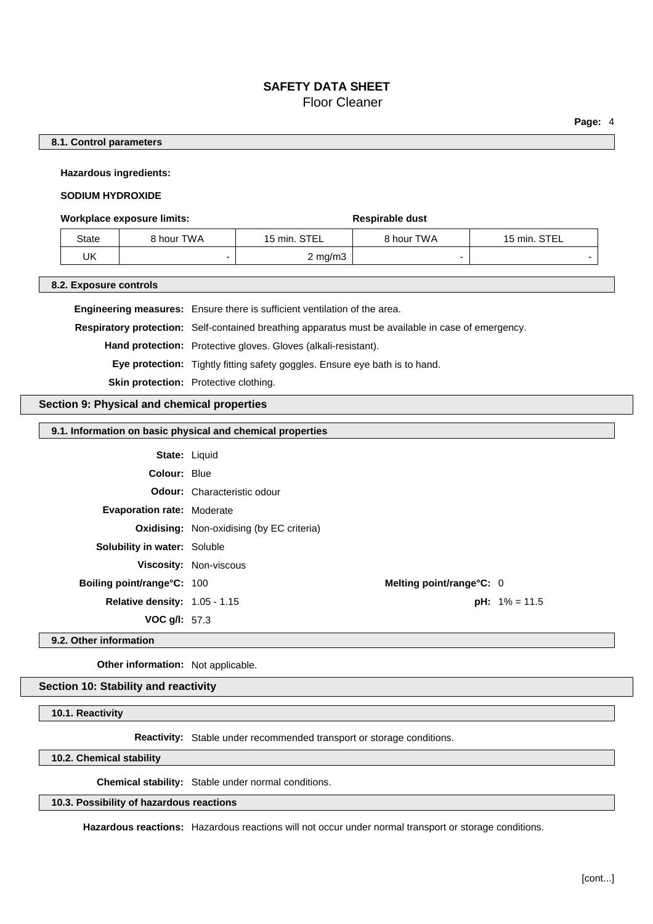# **8.1. Control parameters**

**Hazardous ingredients:**

# **SODIUM HYDROXIDE**

### **Workplace exposure limits: Respirable dust Respirable dust**

| State | 8 hour TWA | 15 min. STEL     | 8 hour TWA | 15 min. STEL |
|-------|------------|------------------|------------|--------------|
| UK    |            | $2 \text{ mg/m}$ |            |              |

# **8.2. Exposure controls**

**Engineering measures:** Ensure there is sufficient ventilation of the area. **Respiratory protection:** Self-contained breathing apparatus must be available in case of emergency. **Hand protection:** Protective gloves. Gloves (alkali-resistant). **Eye protection:** Tightly fitting safety goggles. Ensure eye bath is to hand. **Skin protection:** Protective clothing.

# **Section 9: Physical and chemical properties**

# **9.1. Information on basic physical and chemical properties**

| <b>State: Liquid</b>                   |                                                  |                         |
|----------------------------------------|--------------------------------------------------|-------------------------|
| <b>Colour: Blue</b>                    |                                                  |                         |
|                                        | <b>Odour:</b> Characteristic odour               |                         |
| <b>Evaporation rate: Moderate</b>      |                                                  |                         |
|                                        | <b>Oxidising:</b> Non-oxidising (by EC criteria) |                         |
| <b>Solubility in water: Soluble</b>    |                                                  |                         |
|                                        | <b>Viscosity: Non-viscous</b>                    |                         |
| <b>Boiling point/range°C: 100</b>      | Melting point/range $C: 0$                       |                         |
| <b>Relative density:</b> $1.05 - 1.15$ |                                                  | <b>pH:</b> $1\% = 11.5$ |
| <b>VOC g/l:</b> 57.3                   |                                                  |                         |

### **9.2. Other information**

**Other information:** Not applicable.

# **Section 10: Stability and reactivity**

**10.1. Reactivity**

**Reactivity:** Stable under recommended transport or storage conditions.

**10.2. Chemical stability**

**Chemical stability:** Stable under normal conditions.

### **10.3. Possibility of hazardous reactions**

**Hazardous reactions:** Hazardous reactions will not occur under normal transport or storage conditions.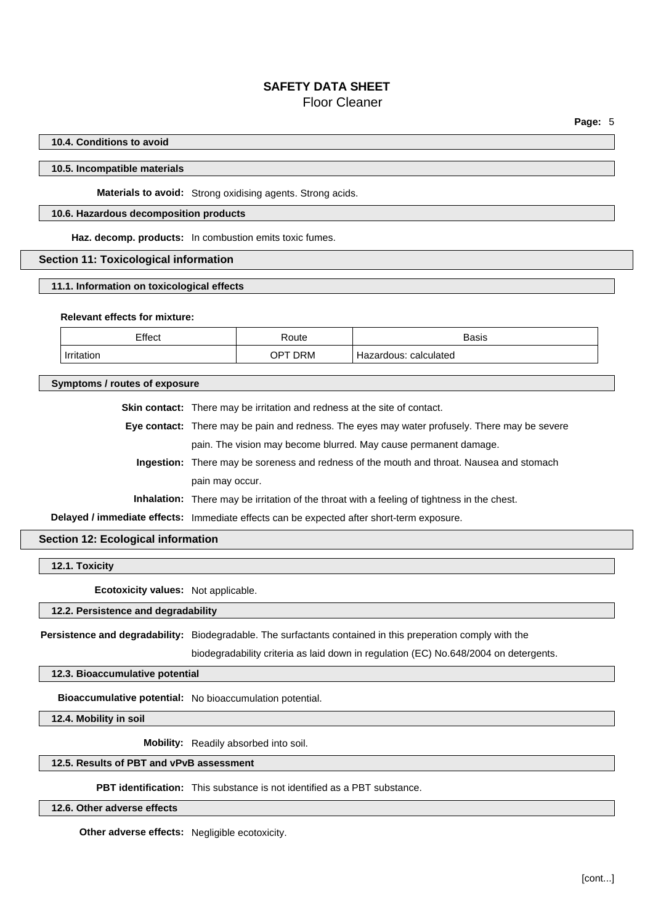# **10.4. Conditions to avoid**

### **10.5. Incompatible materials**

**Materials to avoid:** Strong oxidising agents. Strong acids.

# **10.6. Hazardous decomposition products**

**Haz. decomp. products:** In combustion emits toxic fumes.

# **Section 11: Toxicological information**

### **11.1. Information on toxicological effects**

# **Relevant effects for mixture:**

| Effect | Route              | Basis                 |
|--------|--------------------|-----------------------|
| .      | <b>DRM</b><br>. ∕ا | calculated<br>⊐շ<br>. |

**Symptoms / routes of exposure**

**Skin contact:** There may be irritation and redness at the site of contact.

**Eye contact:** There may be pain and redness. The eyes may water profusely. There may be severe pain. The vision may become blurred. May cause permanent damage.

**Ingestion:** There may be soreness and redness of the mouth and throat. Nausea and stomach pain may occur.

**Inhalation:** There may be irritation of the throat with a feeling of tightness in the chest.

**Delayed / immediate effects:** Immediate effects can be expected after short-term exposure.

# **Section 12: Ecological information**

**12.1. Toxicity**

**Ecotoxicity values:** Not applicable.

# **12.2. Persistence and degradability**

**Persistence and degradability:** Biodegradable. The surfactants contained in this preperation comply with the

biodegradability criteria as laid down in regulation (EC) No.648/2004 on detergents.

### **12.3. Bioaccumulative potential**

**Bioaccumulative potential:** No bioaccumulation potential.

**12.4. Mobility in soil**

**Mobility:** Readily absorbed into soil.

# **12.5. Results of PBT and vPvB assessment**

**PBT identification:** This substance is not identified as a PBT substance.

# **12.6. Other adverse effects**

**Other adverse effects:** Negligible ecotoxicity.